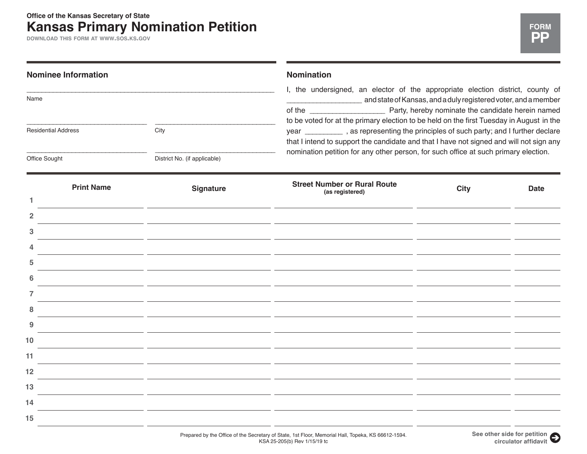**DOWNLOAD THIS FORM AT WWW.SOS.KS.GOV**

|                            | <b>Nominee Information</b> |                                                                                                                       | <b>Nomination</b><br>I, the undersigned, an elector of the appropriate election district, county of<br>and state of Kansas, and a duly registered voter, and a member<br>to be voted for at the primary election to be held on the first Tuesday in August in the |             |             |
|----------------------------|----------------------------|-----------------------------------------------------------------------------------------------------------------------|-------------------------------------------------------------------------------------------------------------------------------------------------------------------------------------------------------------------------------------------------------------------|-------------|-------------|
| Name                       |                            |                                                                                                                       |                                                                                                                                                                                                                                                                   |             |             |
| <b>Residential Address</b> |                            | City                                                                                                                  | year ____________, as representing the principles of such party; and I further declare<br>that I intend to support the candidate and that I have not signed and will not sign any                                                                                 |             |             |
| Office Sought              |                            | District No. (if applicable)                                                                                          | nomination petition for any other person, for such office at such primary election.                                                                                                                                                                               |             |             |
|                            | <b>Print Name</b>          | <b>Signature</b>                                                                                                      | <b>Street Number or Rural Route</b><br>(as registered)                                                                                                                                                                                                            | <b>City</b> | <b>Date</b> |
| 1                          |                            |                                                                                                                       |                                                                                                                                                                                                                                                                   |             |             |
| 2<br>3                     |                            |                                                                                                                       |                                                                                                                                                                                                                                                                   |             |             |
|                            |                            |                                                                                                                       |                                                                                                                                                                                                                                                                   |             |             |
| 5                          |                            |                                                                                                                       | <u> 1989 - Johann Barn, amerikansk politiker (</u>                                                                                                                                                                                                                |             |             |
| 6                          |                            |                                                                                                                       |                                                                                                                                                                                                                                                                   |             |             |
| 7                          |                            |                                                                                                                       | <u>and the state</u>                                                                                                                                                                                                                                              |             |             |
| 8                          |                            |                                                                                                                       |                                                                                                                                                                                                                                                                   |             |             |
| 9                          |                            |                                                                                                                       |                                                                                                                                                                                                                                                                   |             |             |
| 10                         |                            |                                                                                                                       |                                                                                                                                                                                                                                                                   |             |             |
| 11                         |                            | the control of the control of the control of the control of the control of                                            |                                                                                                                                                                                                                                                                   |             |             |
| 12                         |                            | <u> 1989 - Andrea Santa Alemania, prima alemaniar alemaniar alemaniar alemaniar alemaniar alemaniar prima alemani</u> |                                                                                                                                                                                                                                                                   |             |             |
| 13                         |                            | <u> 1989 - Andrea State Barbara, amerikan bahasa di sebagai kecamatan di sebagai kecamatan di sebagai kecamatan </u>  |                                                                                                                                                                                                                                                                   |             |             |
| 14                         |                            |                                                                                                                       |                                                                                                                                                                                                                                                                   |             |             |
| 15                         |                            |                                                                                                                       |                                                                                                                                                                                                                                                                   |             |             |